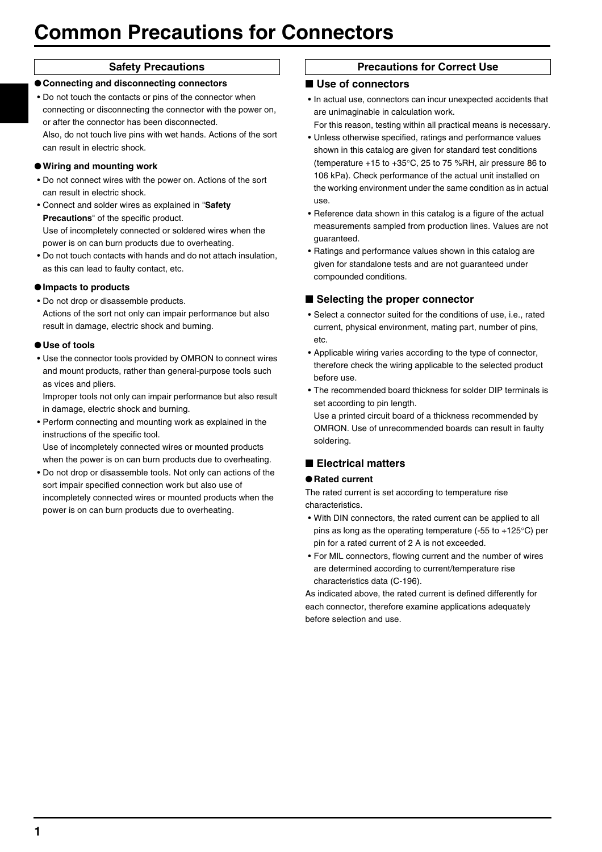# **Common Precautions for Connectors**

●**Connecting and disconnecting connectors** • Do not touch the contacts or pins of the connector when connecting or disconnecting the connector with the power on, or after the connector has been disconnected.

Also, do not touch live pins with wet hands. Actions of the sort can result in electric shock.

# ●**Wiring and mounting work**

- Do not connect wires with the power on. Actions of the sort can result in electric shock.
- Connect and solder wires as explained in "**Safety Precautions**" of the specific product. Use of incompletely connected or soldered wires when the power is on can burn products due to overheating.
- Do not touch contacts with hands and do not attach insulation, as this can lead to faulty contact, etc.

# ●**Impacts to products**

• Do not drop or disassemble products. Actions of the sort not only can impair performance but also result in damage, electric shock and burning.

# ●**Use of tools**

• Use the connector tools provided by OMRON to connect wires and mount products, rather than general-purpose tools such as vices and pliers.

Improper tools not only can impair performance but also result in damage, electric shock and burning.

• Perform connecting and mounting work as explained in the instructions of the specific tool. Use of incompletely connected wires or mounted products

when the power is on can burn products due to overheating. • Do not drop or disassemble tools. Not only can actions of the

sort impair specified connection work but also use of incompletely connected wires or mounted products when the power is on can burn products due to overheating.

# **Safety Precautions Precautions for Correct Use**

# ■ Use of connectors

- In actual use, connectors can incur unexpected accidents that are unimaginable in calculation work.
- For this reason, testing within all practical means is necessary. • Unless otherwise specified, ratings and performance values
- shown in this catalog are given for standard test conditions (temperature +15 to +35°C, 25 to 75 %RH, air pressure 86 to 106 kPa). Check performance of the actual unit installed on the working environment under the same condition as in actual use.
- Reference data shown in this catalog is a figure of the actual measurements sampled from production lines. Values are not guaranteed.
- Ratings and performance values shown in this catalog are given for standalone tests and are not guaranteed under compounded conditions.

# ■ Selecting the proper connector

- Select a connector suited for the conditions of use, i.e., rated current, physical environment, mating part, number of pins, etc.
- Applicable wiring varies according to the type of connector, therefore check the wiring applicable to the selected product before use.
- The recommended board thickness for solder DIP terminals is set according to pin length.

Use a printed circuit board of a thickness recommended by OMRON. Use of unrecommended boards can result in faulty soldering.

# ■ **Electrical matters**

# ●**Rated current**

The rated current is set according to temperature rise characteristics.

- With DIN connectors, the rated current can be applied to all pins as long as the operating temperature (-55 to +125°C) per pin for a rated current of 2 A is not exceeded.
- For MIL connectors, flowing current and the number of wires are determined according to current/temperature rise characteristics data (C-196).

As indicated above, the rated current is defined differently for each connector, therefore examine applications adequately before selection and use.